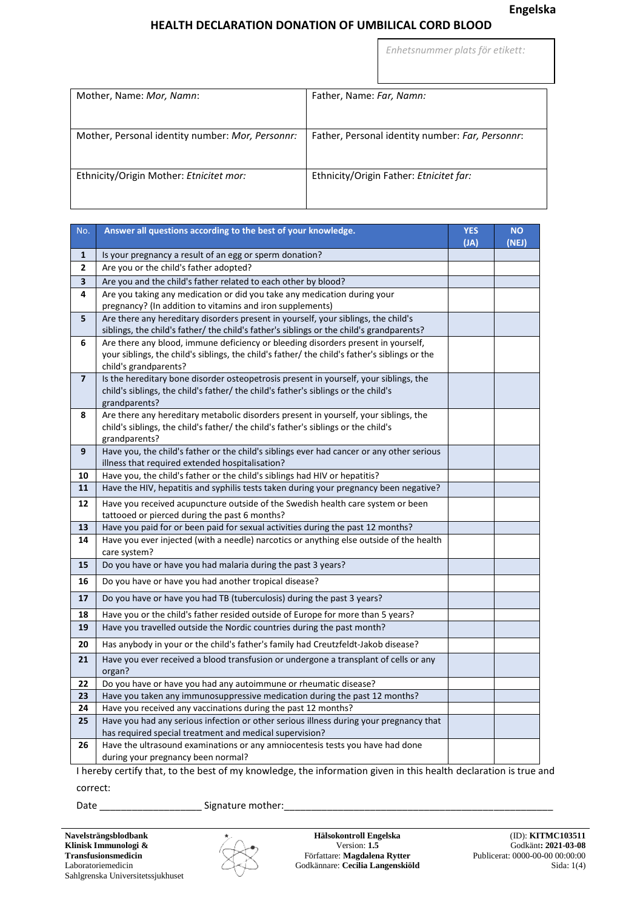*Enhetsnummer plats för etikett:*

| Mother, Name: Mor, Namn:                         | Father, Name: Far, Namn:                         |
|--------------------------------------------------|--------------------------------------------------|
| Mother, Personal identity number: Mor, Personnr: | Father, Personal identity number: Far, Personnr: |
| Ethnicity/Origin Mother: Etnicitet mor:          | Ethnicity/Origin Father: Etnicitet far:          |

| No.                     | Answer all questions according to the best of your knowledge.                                                                                                               | <b>YES</b><br>(JA) | <b>NO</b><br>(NEJ) |
|-------------------------|-----------------------------------------------------------------------------------------------------------------------------------------------------------------------------|--------------------|--------------------|
| 1                       | Is your pregnancy a result of an egg or sperm donation?                                                                                                                     |                    |                    |
| 2                       | Are you or the child's father adopted?                                                                                                                                      |                    |                    |
| $\overline{\mathbf{3}}$ | Are you and the child's father related to each other by blood?                                                                                                              |                    |                    |
| 4                       | Are you taking any medication or did you take any medication during your                                                                                                    |                    |                    |
|                         | pregnancy? (In addition to vitamins and iron supplements)                                                                                                                   |                    |                    |
| 5                       | Are there any hereditary disorders present in yourself, your siblings, the child's                                                                                          |                    |                    |
|                         | siblings, the child's father/ the child's father's siblings or the child's grandparents?                                                                                    |                    |                    |
| 6                       | Are there any blood, immune deficiency or bleeding disorders present in yourself,                                                                                           |                    |                    |
|                         | your siblings, the child's siblings, the child's father/ the child's father's siblings or the                                                                               |                    |                    |
|                         | child's grandparents?                                                                                                                                                       |                    |                    |
| $\overline{7}$          | Is the hereditary bone disorder osteopetrosis present in yourself, your siblings, the<br>child's siblings, the child's father/ the child's father's siblings or the child's |                    |                    |
|                         | grandparents?                                                                                                                                                               |                    |                    |
| 8                       | Are there any hereditary metabolic disorders present in yourself, your siblings, the                                                                                        |                    |                    |
|                         | child's siblings, the child's father/ the child's father's siblings or the child's                                                                                          |                    |                    |
|                         | grandparents?                                                                                                                                                               |                    |                    |
| 9                       | Have you, the child's father or the child's siblings ever had cancer or any other serious                                                                                   |                    |                    |
|                         | illness that required extended hospitalisation?                                                                                                                             |                    |                    |
| 10                      | Have you, the child's father or the child's siblings had HIV or hepatitis?                                                                                                  |                    |                    |
| 11                      | Have the HIV, hepatitis and syphilis tests taken during your pregnancy been negative?                                                                                       |                    |                    |
| 12                      | Have you received acupuncture outside of the Swedish health care system or been                                                                                             |                    |                    |
|                         | tattooed or pierced during the past 6 months?                                                                                                                               |                    |                    |
| 13                      | Have you paid for or been paid for sexual activities during the past 12 months?                                                                                             |                    |                    |
| 14                      | Have you ever injected (with a needle) narcotics or anything else outside of the health                                                                                     |                    |                    |
|                         | care system?                                                                                                                                                                |                    |                    |
| 15                      | Do you have or have you had malaria during the past 3 years?                                                                                                                |                    |                    |
| 16                      | Do you have or have you had another tropical disease?                                                                                                                       |                    |                    |
| 17                      | Do you have or have you had TB (tuberculosis) during the past 3 years?                                                                                                      |                    |                    |
| 18                      | Have you or the child's father resided outside of Europe for more than 5 years?                                                                                             |                    |                    |
| 19                      | Have you travelled outside the Nordic countries during the past month?                                                                                                      |                    |                    |
| 20                      | Has anybody in your or the child's father's family had Creutzfeldt-Jakob disease?                                                                                           |                    |                    |
| 21                      | Have you ever received a blood transfusion or undergone a transplant of cells or any                                                                                        |                    |                    |
|                         | organ?                                                                                                                                                                      |                    |                    |
| 22                      | Do you have or have you had any autoimmune or rheumatic disease?                                                                                                            |                    |                    |
| 23                      | Have you taken any immunosuppressive medication during the past 12 months?                                                                                                  |                    |                    |
| 24                      | Have you received any vaccinations during the past 12 months?                                                                                                               |                    |                    |
| 25                      | Have you had any serious infection or other serious illness during your pregnancy that                                                                                      |                    |                    |
|                         | has required special treatment and medical supervision?                                                                                                                     |                    |                    |
| 26                      | Have the ultrasound examinations or any amniocentesis tests you have had done                                                                                               |                    |                    |
|                         | during your pregnancy been normal?                                                                                                                                          |                    |                    |

I hereby certify that, to the best of my knowledge, the information given in this health declaration is true and correct:

Date \_\_\_\_\_\_\_\_\_\_\_\_\_\_\_\_\_\_\_ Signature mother:\_\_\_\_\_\_\_\_\_\_\_\_\_\_\_\_\_\_\_\_\_\_\_\_\_\_\_\_\_\_\_\_\_\_\_\_\_\_\_\_\_\_\_\_\_\_\_\_\_\_



**Hälsokontroll Engelska** Version: **1.5** Författare: **Magdalena Rytter** Godkännare: **Cecilia Langenskiöld**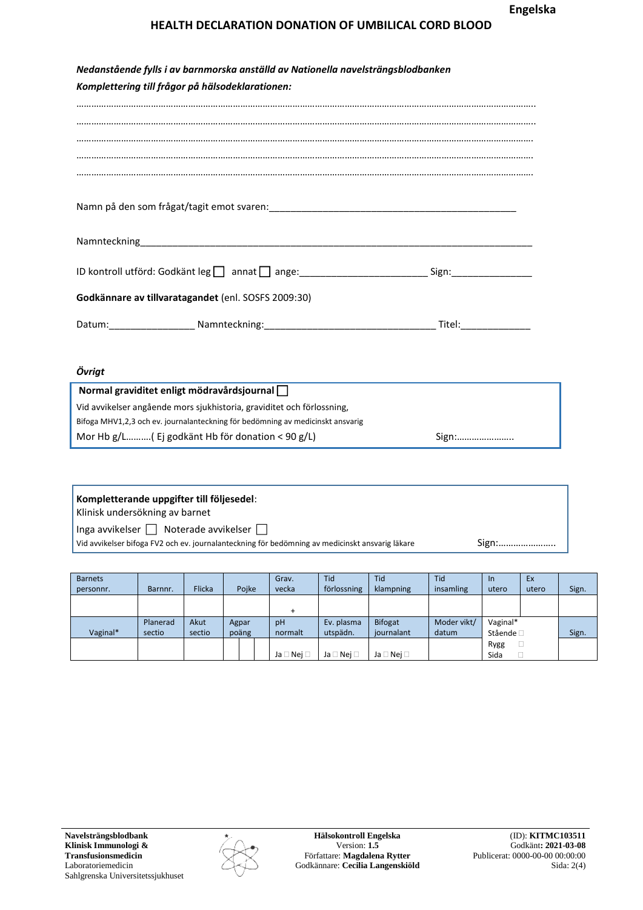| Nedanstående fylls i av barnmorska anställd av Nationella navelsträngsblodbanken                                                                                                                                               |  |  |  |  |  |  |
|--------------------------------------------------------------------------------------------------------------------------------------------------------------------------------------------------------------------------------|--|--|--|--|--|--|
| Komplettering till frågor på hälsodeklarationen:                                                                                                                                                                               |  |  |  |  |  |  |
|                                                                                                                                                                                                                                |  |  |  |  |  |  |
|                                                                                                                                                                                                                                |  |  |  |  |  |  |
|                                                                                                                                                                                                                                |  |  |  |  |  |  |
|                                                                                                                                                                                                                                |  |  |  |  |  |  |
|                                                                                                                                                                                                                                |  |  |  |  |  |  |
|                                                                                                                                                                                                                                |  |  |  |  |  |  |
|                                                                                                                                                                                                                                |  |  |  |  |  |  |
|                                                                                                                                                                                                                                |  |  |  |  |  |  |
|                                                                                                                                                                                                                                |  |  |  |  |  |  |
|                                                                                                                                                                                                                                |  |  |  |  |  |  |
|                                                                                                                                                                                                                                |  |  |  |  |  |  |
|                                                                                                                                                                                                                                |  |  |  |  |  |  |
| ID kontroll utförd: Godkänt leg annat ange: 10 ange: 10 ange: 10 ange: 10 ange: 10 ange: 10 ange: 10 ange: 10 ange: 10 ange: 10 ange: 10 ange: 10 ange: 10 ange: 10 ange: 10 ange: 10 ange: 10 ange: 10 ange: 10 ange: 10 ange |  |  |  |  |  |  |
| Godkännare av tillvaratagandet (enl. SOSFS 2009:30)                                                                                                                                                                            |  |  |  |  |  |  |
|                                                                                                                                                                                                                                |  |  |  |  |  |  |
|                                                                                                                                                                                                                                |  |  |  |  |  |  |
|                                                                                                                                                                                                                                |  |  |  |  |  |  |
|                                                                                                                                                                                                                                |  |  |  |  |  |  |

*Övrigt*

| Normal graviditet enligt mödravårdsjournal $\Box$                              |       |
|--------------------------------------------------------------------------------|-------|
| Vid avvikelser angående mors sjukhistoria, graviditet och förlossning,         |       |
| Bifoga MHV1,2,3 och ev. journalanteckning för bedömning av medicinskt ansvarig |       |
| Mor Hb $g/L$ ( Ej godkänt Hb för donation < 90 g/L)                            | Sign: |

| Kompletterande uppgifter till följesedel:<br>Klinisk undersökning av barnet                                                                          |       |
|------------------------------------------------------------------------------------------------------------------------------------------------------|-------|
| Inga avvikelser $\Box$ Noterade avvikelser $\Box$<br>Vid avvikelser bifoga FV2 och ev. journalanteckning för bedömning av medicinskt ansvarig läkare | Sign: |

| <b>Barnets</b><br>personnr. | Barnnr.  | <b>Flicka</b> | Pojke | Grav.<br>vecka       | Tid<br>förlossning   | Tid<br>klampning     | <b>Tid</b><br>insamling | <sub>In</sub><br>utero | Ex<br>utero | Sign. |
|-----------------------------|----------|---------------|-------|----------------------|----------------------|----------------------|-------------------------|------------------------|-------------|-------|
|                             |          |               |       | ÷                    |                      |                      |                         |                        |             |       |
|                             | Planerad | Akut          | Agpar | pH                   | Ev. plasma           | <b>Bifogat</b>       | Moder vikt/             | Vaginal*               |             |       |
| Vaginal*                    | sectio   | sectio        | poäng | normalt              | utspädn.             | journalant           | datum                   | Stående $\Box$         |             | Sign. |
|                             |          |               |       |                      |                      |                      |                         | Rygg                   |             |       |
|                             |          |               |       | Ja $\Box$ Nej $\Box$ | Ja $\Box$ Nej $\Box$ | Ja $\Box$ Nej $\Box$ |                         | Sida                   |             |       |

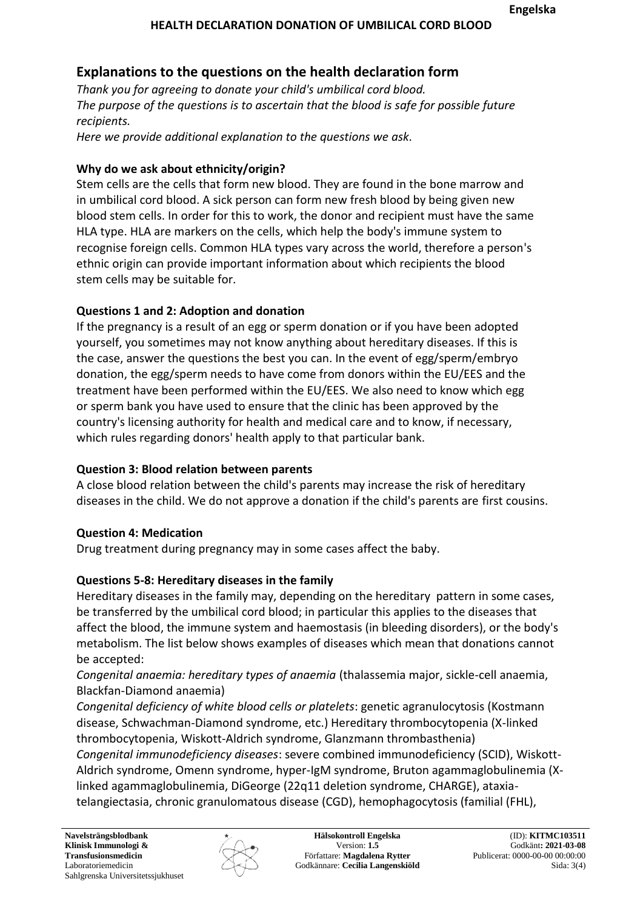# **Explanations to the questions on the health declaration form**

*Thank you for agreeing to donate your child's umbilical cord blood. The purpose of the questions is to ascertain that the blood is safe for possible future recipients.*

*Here we provide additional explanation to the questions we ask.*

### **Why do we ask about ethnicity/origin?**

Stem cells are the cells that form new blood. They are found in the bone marrow and in umbilical cord blood. A sick person can form new fresh blood by being given new blood stem cells. In order for this to work, the donor and recipient must have the same HLA type. HLA are markers on the cells, which help the body's immune system to recognise foreign cells. Common HLA types vary across the world, therefore a person's ethnic origin can provide important information about which recipients the blood stem cells may be suitable for.

### **Questions 1 and 2: Adoption and donation**

If the pregnancy is a result of an egg or sperm donation or if you have been adopted yourself, you sometimes may not know anything about hereditary diseases. If this is the case, answer the questions the best you can. In the event of egg/sperm/embryo donation, the egg/sperm needs to have come from donors within the EU/EES and the treatment have been performed within the EU/EES. We also need to know which egg or sperm bank you have used to ensure that the clinic has been approved by the country's licensing authority for health and medical care and to know, if necessary, which rules regarding donors' health apply to that particular bank.

## **Question 3: Blood relation between parents**

A close blood relation between the child's parents may increase the risk of hereditary diseases in the child. We do not approve a donation if the child's parents are first cousins.

## **Question 4: Medication**

Drug treatment during pregnancy may in some cases affect the baby.

## **Questions 5-8: Hereditary diseases in the family**

Hereditary diseases in the family may, depending on the hereditary pattern in some cases, be transferred by the umbilical cord blood; in particular this applies to the diseases that affect the blood, the immune system and haemostasis (in bleeding disorders), or the body's metabolism. The list below shows examples of diseases which mean that donations cannot be accepted:

*Congenital anaemia: hereditary types of anaemia* (thalassemia major, sickle-cell anaemia, Blackfan-Diamond anaemia)

*Congenital deficiency of white blood cells or platelets*: genetic agranulocytosis (Kostmann disease, Schwachman-Diamond syndrome, etc.) Hereditary thrombocytopenia (X-linked thrombocytopenia, Wiskott-Aldrich syndrome, Glanzmann thrombasthenia)

*Congenital immunodeficiency diseases*: severe combined immunodeficiency (SCID), Wiskott-Aldrich syndrome, Omenn syndrome, hyper-IgM syndrome, Bruton agammaglobulinemia (Xlinked agammaglobulinemia, DiGeorge (22q11 deletion syndrome, CHARGE), ataxiatelangiectasia, chronic granulomatous disease (CGD), hemophagocytosis (familial (FHL),